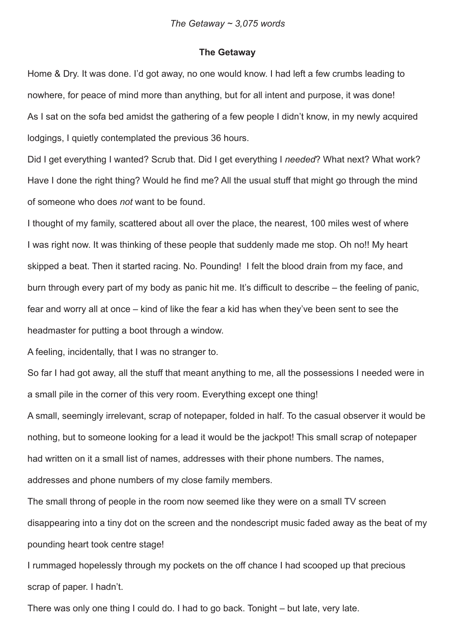#### **The Getaway**

Home & Dry. It was done. I'd got away, no one would know. I had left a few crumbs leading to nowhere, for peace of mind more than anything, but for all intent and purpose, it was done! As I sat on the sofa bed amidst the gathering of a few people I didn't know, in my newly acquired lodgings, I quietly contemplated the previous 36 hours.

Did I get everything I wanted? Scrub that. Did I get everything I *needed*? What next? What work? Have I done the right thing? Would he find me? All the usual stuff that might go through the mind of someone who does *not* want to be found.

I thought of my family, scattered about all over the place, the nearest, 100 miles west of where I was right now. It was thinking of these people that suddenly made me stop. Oh no!! My heart skipped a beat. Then it started racing. No. Pounding! I felt the blood drain from my face, and burn through every part of my body as panic hit me. It's difficult to describe – the feeling of panic, fear and worry all at once – kind of like the fear a kid has when they've been sent to see the headmaster for putting a boot through a window.

A feeling, incidentally, that I was no stranger to.

So far I had got away, all the stuff that meant anything to me, all the possessions I needed were in a small pile in the corner of this very room. Everything except one thing!

A small, seemingly irrelevant, scrap of notepaper, folded in half. To the casual observer it would be nothing, but to someone looking for a lead it would be the jackpot! This small scrap of notepaper had written on it a small list of names, addresses with their phone numbers. The names, addresses and phone numbers of my close family members.

The small throng of people in the room now seemed like they were on a small TV screen disappearing into a tiny dot on the screen and the nondescript music faded away as the beat of my pounding heart took centre stage!

I rummaged hopelessly through my pockets on the off chance I had scooped up that precious scrap of paper. I hadn't.

There was only one thing I could do. I had to go back. Tonight – but late, very late.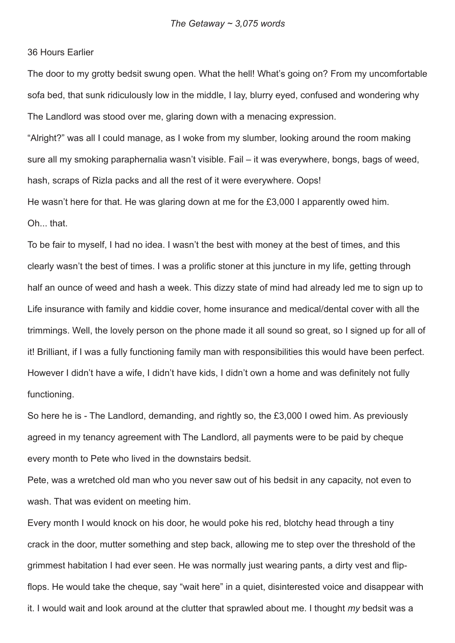## 36 Hours Earlier

The door to my grotty bedsit swung open. What the hell! What's going on? From my uncomfortable sofa bed, that sunk ridiculously low in the middle, I lay, blurry eyed, confused and wondering why The Landlord was stood over me, glaring down with a menacing expression.

"Alright?" was all I could manage, as I woke from my slumber, looking around the room making sure all my smoking paraphernalia wasn't visible. Fail – it was everywhere, bongs, bags of weed, hash, scraps of Rizla packs and all the rest of it were everywhere. Oops!

He wasn't here for that. He was glaring down at me for the £3,000 I apparently owed him. Oh. that

To be fair to myself, I had no idea. I wasn't the best with money at the best of times, and this clearly wasn't the best of times. I was a prolific stoner at this juncture in my life, getting through half an ounce of weed and hash a week. This dizzy state of mind had already led me to sign up to Life insurance with family and kiddie cover, home insurance and medical/dental cover with all the trimmings. Well, the lovely person on the phone made it all sound so great, so I signed up for all of it! Brilliant, if I was a fully functioning family man with responsibilities this would have been perfect. However I didn't have a wife, I didn't have kids, I didn't own a home and was definitely not fully functioning.

So here he is - The Landlord, demanding, and rightly so, the £3,000 I owed him. As previously agreed in my tenancy agreement with The Landlord, all payments were to be paid by cheque every month to Pete who lived in the downstairs bedsit.

Pete, was a wretched old man who you never saw out of his bedsit in any capacity, not even to wash. That was evident on meeting him.

Every month I would knock on his door, he would poke his red, blotchy head through a tiny crack in the door, mutter something and step back, allowing me to step over the threshold of the grimmest habitation I had ever seen. He was normally just wearing pants, a dirty vest and flipflops. He would take the cheque, say "wait here" in a quiet, disinterested voice and disappear with it. I would wait and look around at the clutter that sprawled about me. I thought *my* bedsit was a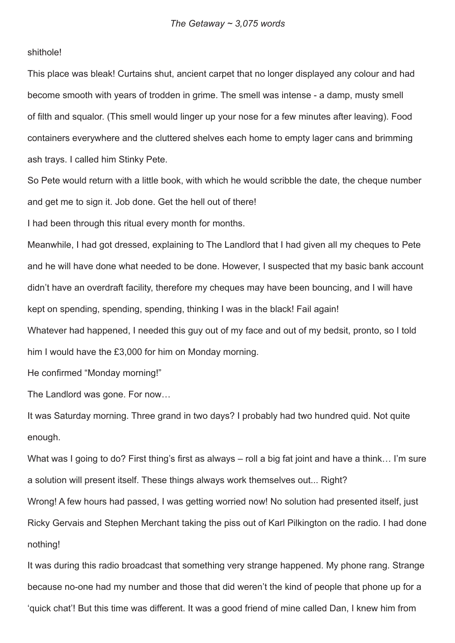# shithole!

This place was bleak! Curtains shut, ancient carpet that no longer displayed any colour and had become smooth with years of trodden in grime. The smell was intense - a damp, musty smell of filth and squalor. (This smell would linger up your nose for a few minutes after leaving). Food containers everywhere and the cluttered shelves each home to empty lager cans and brimming ash trays. I called him Stinky Pete.

So Pete would return with a little book, with which he would scribble the date, the cheque number and get me to sign it. Job done. Get the hell out of there!

I had been through this ritual every month for months.

Meanwhile, I had got dressed, explaining to The Landlord that I had given all my cheques to Pete and he will have done what needed to be done. However, I suspected that my basic bank account didn't have an overdraft facility, therefore my cheques may have been bouncing, and I will have kept on spending, spending, spending, thinking I was in the black! Fail again!

Whatever had happened, I needed this guy out of my face and out of my bedsit, pronto, so I told him I would have the £3,000 for him on Monday morning.

He confirmed "Monday morning!"

The Landlord was gone. For now…

It was Saturday morning. Three grand in two days? I probably had two hundred quid. Not quite enough.

What was I going to do? First thing's first as always – roll a big fat joint and have a think... I'm sure a solution will present itself. These things always work themselves out... Right?

Wrong! A few hours had passed, I was getting worried now! No solution had presented itself, just Ricky Gervais and Stephen Merchant taking the piss out of Karl Pilkington on the radio. I had done nothing!

It was during this radio broadcast that something very strange happened. My phone rang. Strange because no-one had my number and those that did weren't the kind of people that phone up for a 'quick chat'! But this time was different. It was a good friend of mine called Dan, I knew him from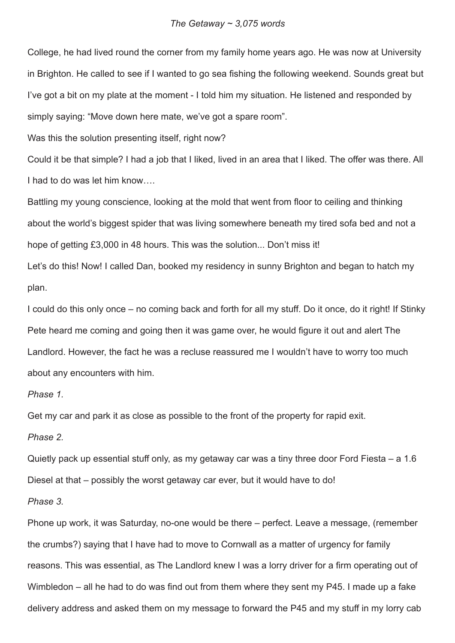#### *The Getaway ~ 3,075 words*

College, he had lived round the corner from my family home years ago. He was now at University in Brighton. He called to see if I wanted to go sea fishing the following weekend. Sounds great but I've got a bit on my plate at the moment - I told him my situation. He listened and responded by simply saying: "Move down here mate, we've got a spare room".

Was this the solution presenting itself, right now?

Could it be that simple? I had a job that I liked, lived in an area that I liked. The offer was there. All I had to do was let him know….

Battling my young conscience, looking at the mold that went from floor to ceiling and thinking about the world's biggest spider that was living somewhere beneath my tired sofa bed and not a hope of getting £3,000 in 48 hours. This was the solution... Don't miss it!

Let's do this! Now! I called Dan, booked my residency in sunny Brighton and began to hatch my plan.

I could do this only once – no coming back and forth for all my stuff. Do it once, do it right! If Stinky Pete heard me coming and going then it was game over, he would figure it out and alert The Landlord. However, the fact he was a recluse reassured me I wouldn't have to worry too much about any encounters with him.

## *Phase 1.*

Get my car and park it as close as possible to the front of the property for rapid exit.

*Phase 2.*

Quietly pack up essential stuff only, as my getaway car was a tiny three door Ford Fiesta – a 1.6 Diesel at that – possibly the worst getaway car ever, but it would have to do!

# *Phase 3.*

Phone up work, it was Saturday, no-one would be there – perfect. Leave a message, (remember the crumbs?) saying that I have had to move to Cornwall as a matter of urgency for family reasons. This was essential, as The Landlord knew I was a lorry driver for a firm operating out of Wimbledon – all he had to do was find out from them where they sent my P45. I made up a fake delivery address and asked them on my message to forward the P45 and my stuff in my lorry cab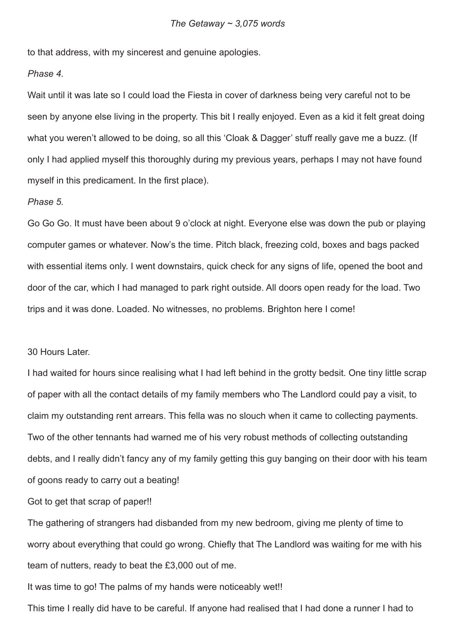to that address, with my sincerest and genuine apologies.

# *Phase 4.*

Wait until it was late so I could load the Fiesta in cover of darkness being very careful not to be seen by anyone else living in the property. This bit I really enjoyed. Even as a kid it felt great doing what you weren't allowed to be doing, so all this 'Cloak & Dagger' stuff really gave me a buzz. (If only I had applied myself this thoroughly during my previous years, perhaps I may not have found myself in this predicament. In the first place).

#### *Phase 5.*

Go Go Go. It must have been about 9 o'clock at night. Everyone else was down the pub or playing computer games or whatever. Now's the time. Pitch black, freezing cold, boxes and bags packed with essential items only. I went downstairs, quick check for any signs of life, opened the boot and door of the car, which I had managed to park right outside. All doors open ready for the load. Two trips and it was done. Loaded. No witnesses, no problems. Brighton here I come!

# 30 Hours Later.

I had waited for hours since realising what I had left behind in the grotty bedsit. One tiny little scrap of paper with all the contact details of my family members who The Landlord could pay a visit, to claim my outstanding rent arrears. This fella was no slouch when it came to collecting payments. Two of the other tennants had warned me of his very robust methods of collecting outstanding debts, and I really didn't fancy any of my family getting this guy banging on their door with his team of goons ready to carry out a beating!

Got to get that scrap of paper!!

The gathering of strangers had disbanded from my new bedroom, giving me plenty of time to worry about everything that could go wrong. Chiefly that The Landlord was waiting for me with his team of nutters, ready to beat the £3,000 out of me.

It was time to go! The palms of my hands were noticeably wet!!

This time I really did have to be careful. If anyone had realised that I had done a runner I had to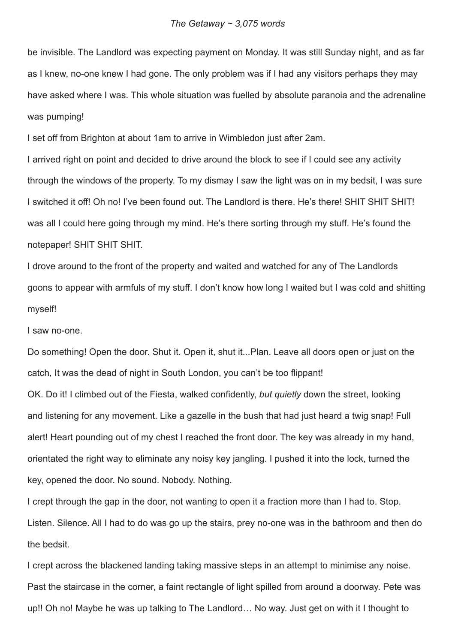be invisible. The Landlord was expecting payment on Monday. It was still Sunday night, and as far as I knew, no-one knew I had gone. The only problem was if I had any visitors perhaps they may have asked where I was. This whole situation was fuelled by absolute paranoia and the adrenaline was pumping!

I set off from Brighton at about 1am to arrive in Wimbledon just after 2am.

I arrived right on point and decided to drive around the block to see if I could see any activity through the windows of the property. To my dismay I saw the light was on in my bedsit, I was sure I switched it off! Oh no! I've been found out. The Landlord is there. He's there! SHIT SHIT SHIT! was all I could here going through my mind. He's there sorting through my stuff. He's found the notepaper! SHIT SHIT SHIT.

I drove around to the front of the property and waited and watched for any of The Landlords goons to appear with armfuls of my stuff. I don't know how long I waited but I was cold and shitting myself!

## I saw no-one.

Do something! Open the door. Shut it. Open it, shut it...Plan. Leave all doors open or just on the catch, It was the dead of night in South London, you can't be too flippant!

OK. Do it! I climbed out of the Fiesta, walked confidently, *but quietly* down the street, looking and listening for any movement. Like a gazelle in the bush that had just heard a twig snap! Full alert! Heart pounding out of my chest I reached the front door. The key was already in my hand, orientated the right way to eliminate any noisy key jangling. I pushed it into the lock, turned the key, opened the door. No sound. Nobody. Nothing.

I crept through the gap in the door, not wanting to open it a fraction more than I had to. Stop. Listen. Silence. All I had to do was go up the stairs, prey no-one was in the bathroom and then do the bedsit.

I crept across the blackened landing taking massive steps in an attempt to minimise any noise. Past the staircase in the corner, a faint rectangle of light spilled from around a doorway. Pete was up!! Oh no! Maybe he was up talking to The Landlord… No way. Just get on with it I thought to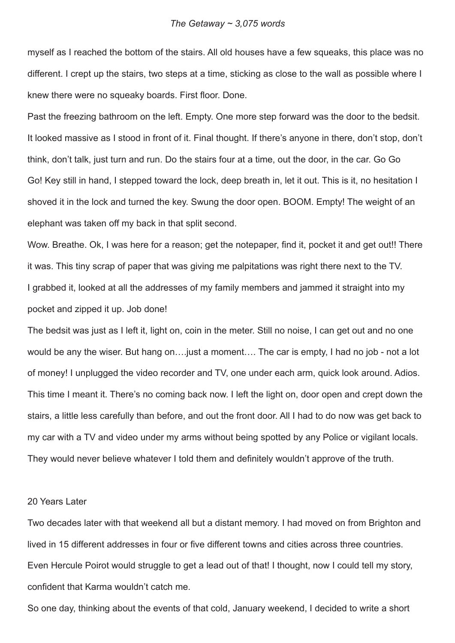myself as I reached the bottom of the stairs. All old houses have a few squeaks, this place was no different. I crept up the stairs, two steps at a time, sticking as close to the wall as possible where I knew there were no squeaky boards. First floor. Done.

Past the freezing bathroom on the left. Empty. One more step forward was the door to the bedsit. It looked massive as I stood in front of it. Final thought. If there's anyone in there, don't stop, don't think, don't talk, just turn and run. Do the stairs four at a time, out the door, in the car. Go Go Go! Key still in hand, I stepped toward the lock, deep breath in, let it out. This is it, no hesitation I shoved it in the lock and turned the key. Swung the door open. BOOM. Empty! The weight of an elephant was taken off my back in that split second.

Wow. Breathe. Ok, I was here for a reason; get the notepaper, find it, pocket it and get out!! There it was. This tiny scrap of paper that was giving me palpitations was right there next to the TV. I grabbed it, looked at all the addresses of my family members and jammed it straight into my pocket and zipped it up. Job done!

The bedsit was just as I left it, light on, coin in the meter. Still no noise, I can get out and no one would be any the wiser. But hang on….just a moment…. The car is empty, I had no job - not a lot of money! I unplugged the video recorder and TV, one under each arm, quick look around. Adios. This time I meant it. There's no coming back now. I left the light on, door open and crept down the stairs, a little less carefully than before, and out the front door. All I had to do now was get back to my car with a TV and video under my arms without being spotted by any Police or vigilant locals. They would never believe whatever I told them and definitely wouldn't approve of the truth.

# 20 Years Later

Two decades later with that weekend all but a distant memory. I had moved on from Brighton and lived in 15 different addresses in four or five different towns and cities across three countries. Even Hercule Poirot would struggle to get a lead out of that! I thought, now I could tell my story, confident that Karma wouldn't catch me.

So one day, thinking about the events of that cold, January weekend, I decided to write a short